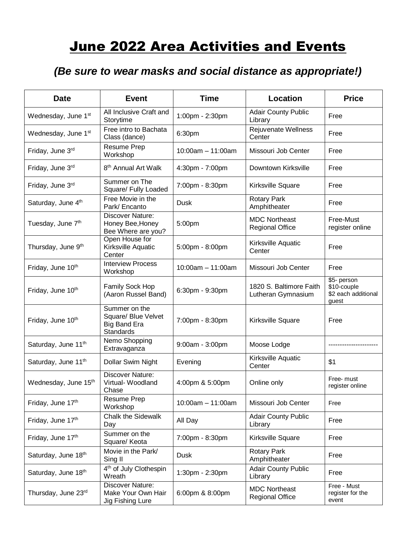## **June 2022 Area Activities and Events**

## *(Be sure to wear masks and social distance as appropriate!)*

| <b>Date</b>                     | <b>Event</b>                                                             | <b>Time</b>            | Location                                       | <b>Price</b>                                               |
|---------------------------------|--------------------------------------------------------------------------|------------------------|------------------------------------------------|------------------------------------------------------------|
| Wednesday, June 1st             | All Inclusive Craft and<br>Storytime                                     | 1:00pm - 2:30pm        | <b>Adair County Public</b><br>Library          | Free                                                       |
| Wednesday, June 1 <sup>st</sup> | Free intro to Bachata<br>Class (dance)                                   | 6:30pm                 | Rejuvenate Wellness<br>Center                  | Free                                                       |
| Friday, June 3rd                | <b>Resume Prep</b><br>Workshop                                           | $10:00am - 11:00am$    | Missouri Job Center                            | Free                                                       |
| Friday, June 3rd                | 8 <sup>th</sup> Annual Art Walk                                          | 4:30pm - 7:00pm        | Downtown Kirksville                            | Free                                                       |
| Friday, June 3rd                | Summer on The<br>Square/ Fully Loaded                                    | 7:00pm - 8:30pm        | Kirksville Square                              | Free                                                       |
| Saturday, June 4th              | Free Movie in the<br>Park/ Encanto                                       | <b>Dusk</b>            | <b>Rotary Park</b><br>Amphitheater             | Free                                                       |
| Tuesday, June 7 <sup>th</sup>   | Discover Nature:<br>Honey Bee, Honey<br>Bee Where are you?               | 5:00pm                 | <b>MDC Northeast</b><br><b>Regional Office</b> | Free-Must<br>register online                               |
| Thursday, June 9th              | Open House for<br>Kirksville Aquatic<br>Center                           | 5:00pm - 8:00pm        | Kirksville Aquatic<br>Center                   | Free                                                       |
| Friday, June 10 <sup>th</sup>   | <b>Interview Process</b><br>Workshop                                     | $10:00$ am $-11:00$ am | Missouri Job Center                            | Free                                                       |
| Friday, June 10th               | Family Sock Hop<br>(Aaron Russel Band)                                   | 6:30pm - 9:30pm        | 1820 S. Baltimore Faith<br>Lutheran Gymnasium  | \$5- person<br>\$10-couple<br>\$2 each additional<br>guest |
| Friday, June 10 <sup>th</sup>   | Summer on the<br>Square/ Blue Velvet<br><b>Big Band Era</b><br>Standards | 7:00pm - 8:30pm        | Kirksville Square                              | Free                                                       |
| Saturday, June 11 <sup>th</sup> | Nemo Shopping<br>Extravaganza                                            | 9:00am - 3:00pm        | Moose Lodge                                    |                                                            |
| Saturday, June 11 <sup>th</sup> | Dollar Swim Night                                                        | Evening                | Kirksville Aquatic<br>Center                   | \$1                                                        |
| Wednesday, June 15th            | Discover Nature:<br>Virtual-Woodland<br>Chase                            | 4:00pm & 5:00pm        | Online only                                    | Free- must<br>register online                              |
| Friday, June 17th               | <b>Resume Prep</b><br>Workshop                                           | $10:00am - 11:00am$    | Missouri Job Center                            | Free                                                       |
| Friday, June 17th               | <b>Chalk the Sidewalk</b><br>Day                                         | All Day                | <b>Adair County Public</b><br>Library          | Free                                                       |
| Friday, June 17th               | Summer on the<br>Square/ Keota                                           | 7:00pm - 8:30pm        | Kirksville Square                              | Free                                                       |
| Saturday, June 18th             | Movie in the Park/<br>Sing II                                            | <b>Dusk</b>            | <b>Rotary Park</b><br>Amphitheater             | Free                                                       |
| Saturday, June 18th             | 4 <sup>th</sup> of July Clothespin<br>Wreath                             | 1:30pm - 2:30pm        | <b>Adair County Public</b><br>Library          | Free                                                       |
| Thursday, June 23rd             | <b>Discover Nature:</b><br>Make Your Own Hair<br>Jig Fishing Lure        | 6:00pm & 8:00pm        | <b>MDC Northeast</b><br><b>Regional Office</b> | Free - Must<br>register for the<br>event                   |